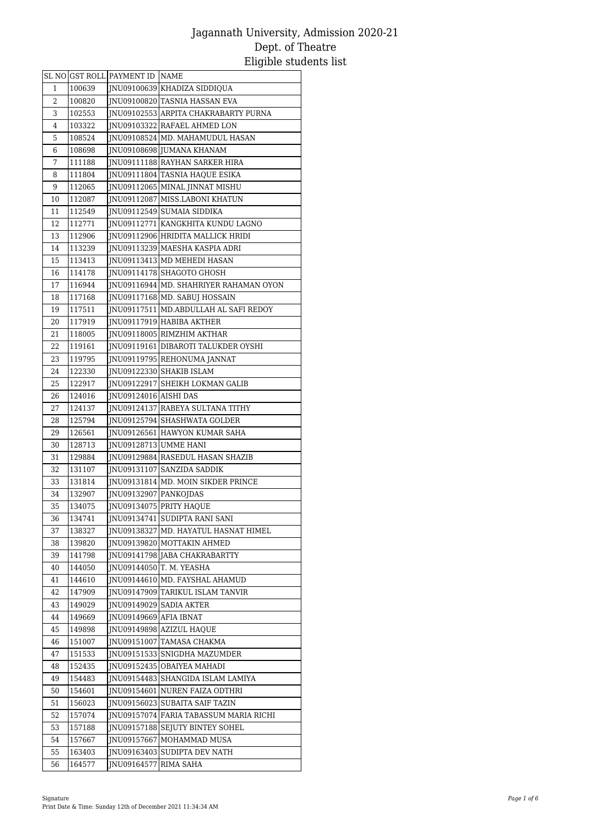|    |        | SL NO GST ROLL PAYMENT ID NAME |                                         |
|----|--------|--------------------------------|-----------------------------------------|
| 1  | 100639 |                                | INU09100639 KHADIZA SIDDIQUA            |
| 2  | 100820 |                                | JNU09100820 TASNIA HASSAN EVA           |
| 3  | 102553 |                                | JNU09102553 ARPITA CHAKRABARTY PURNA    |
| 4  | 103322 |                                | JNU09103322 RAFAEL AHMED LON            |
| 5  | 108524 |                                | INU09108524 MD. MAHAMUDUL HASAN         |
| 6  | 108698 |                                | JNU09108698 JUMANA KHANAM               |
| 7  | 111188 |                                | JNU09111188 RAYHAN SARKER HIRA          |
| 8  | 111804 |                                | JNU09111804 TASNIA HAQUE ESIKA          |
| 9  | 112065 |                                | JNU09112065 MINAL JINNAT MISHU          |
| 10 | 112087 |                                | JNU09112087   MISS.LABONI KHATUN        |
| 11 | 112549 |                                | JNU09112549 SUMAIA SIDDIKA              |
| 12 | 112771 |                                | JNU09112771 KANGKHITA KUNDU LAGNO       |
| 13 | 112906 |                                | JNU09112906 HRIDITA MALLICK HRIDI       |
| 14 | 113239 |                                | JNU09113239 MAESHA KASPIA ADRI          |
| 15 | 113413 |                                | JNU09113413 MD MEHEDI HASAN             |
| 16 | 114178 |                                | JNU09114178 SHAGOTO GHOSH               |
| 17 | 116944 |                                | JNU09116944  MD. SHAHRIYER RAHAMAN OYON |
| 18 | 117168 |                                | JNU09117168 MD. SABUJ HOSSAIN           |
| 19 | 117511 |                                | JNU09117511 MD.ABDULLAH AL SAFI REDOY   |
| 20 | 117919 |                                | JNU09117919 HABIBA AKTHER               |
| 21 | 118005 |                                | JNU09118005 RIMZHIM AKTHAR              |
| 22 | 119161 |                                | JNU09119161 DIBAROTI TALUKDER OYSHI     |
| 23 | 119795 |                                | JNU09119795 REHONUMA JANNAT             |
| 24 | 122330 |                                | JNU09122330 SHAKIB ISLAM                |
| 25 | 122917 |                                | JNU09122917 SHEIKH LOKMAN GALIB         |
| 26 | 124016 | JNU09124016 AISHI DAS          |                                         |
| 27 | 124137 |                                | JNU09124137 RABEYA SULTANA TITHY        |
| 28 | 125794 |                                | JNU09125794 SHASHWATA GOLDER            |
| 29 | 126561 |                                | JNU09126561 HAWYON KUMAR SAHA           |
| 30 | 128713 | JNU09128713 UMME HANI          |                                         |
| 31 | 129884 |                                | JNU09129884 RASEDUL HASAN SHAZIB        |
| 32 | 131107 |                                | INU09131107 SANZIDA SADDIK              |
| 33 | 131814 |                                | JNU09131814 MD. MOIN SIKDER PRINCE      |
| 34 | 132907 | JNU09132907 PANKOJDAS          |                                         |
| 35 | 134075 |                                | JNU09134075 PRITY HAQUE                 |
| 36 | 134741 |                                | JNU09134741 SUDIPTA RANI SANI           |
| 37 | 138327 |                                | JNU09138327 MD. HAYATUL HASNAT HIMEL    |
| 38 | 139820 |                                | JNU09139820 MOTTAKIN AHMED              |
| 39 | 141798 |                                | JNU09141798 JABA CHAKRABARTTY           |
| 40 | 144050 |                                | JNU09144050 T. M. YEASHA                |
| 41 | 144610 |                                | JNU09144610 MD. FAYSHAL AHAMUD          |
| 42 | 147909 |                                | JNU09147909 TARIKUL ISLAM TANVIR        |
| 43 | 149029 |                                | JNU09149029 SADIA AKTER                 |
| 44 | 149669 | INU09149669 AFIA IBNAT         |                                         |
| 45 | 149898 |                                | JNU09149898 AZIZUL HAQUE                |
| 46 | 151007 |                                | JNU09151007 TAMASA CHAKMA               |
| 47 | 151533 |                                | JNU09151533 SNIGDHA MAZUMDER            |
| 48 | 152435 |                                | JNU09152435 OBAIYEA MAHADI              |
| 49 | 154483 |                                | JNU09154483 SHANGIDA ISLAM LAMIYA       |
| 50 | 154601 |                                | JNU09154601 NUREN FAIZA ODTHRI          |
| 51 | 156023 |                                | JNU09156023 SUBAITA SAIF TAZIN          |
| 52 | 157074 |                                | JNU09157074 FARIA TABASSUM MARIA RICHI  |
| 53 | 157188 |                                | JNU09157188 SEJUTY BINTEY SOHEL         |
| 54 | 157667 |                                | JNU09157667 MOHAMMAD MUSA               |
| 55 | 163403 |                                | JNU09163403 SUDIPTA DEV NATH            |
| 56 | 164577 | JNU09164577 RIMA SAHA          |                                         |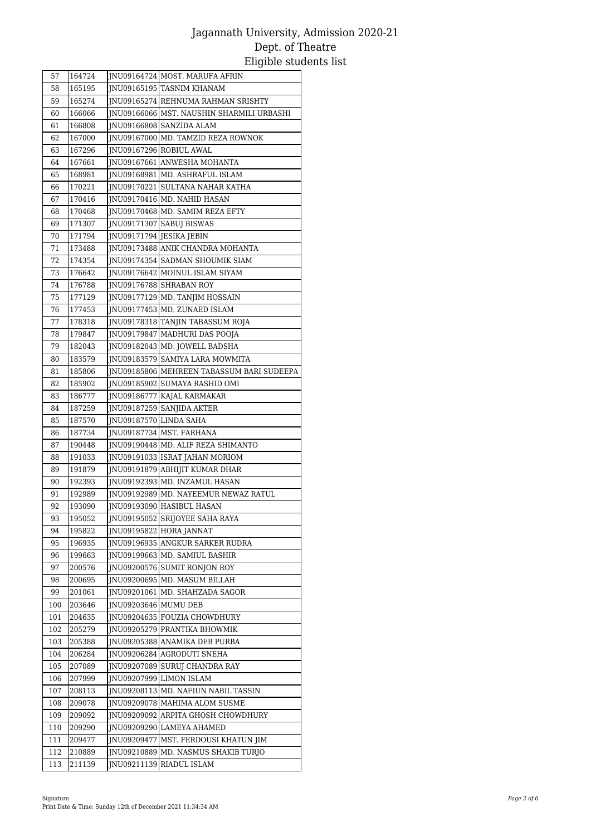| 57       | 164724           |                          | JNU09164724 MOST. MARUFA AFRIN                                   |
|----------|------------------|--------------------------|------------------------------------------------------------------|
| 58       | 165195           |                          | JNU09165195 TASNIM KHANAM                                        |
| 59       | 165274           |                          | JNU09165274 REHNUMA RAHMAN SRISHTY                               |
| 60       | 166066           |                          | JNU09166066 MST. NAUSHIN SHARMILI URBASHI                        |
| 61       | 166808           |                          | JNU09166808 SANZIDA ALAM                                         |
| 62       | 167000           |                          | JNU09167000 MD. TAMZID REZA ROWNOK                               |
| 63       | 167296           |                          | JNU09167296 ROBIUL AWAL                                          |
| 64       | 167661           |                          | JNU09167661 ANWESHA MOHANTA                                      |
| 65       | 168981           |                          | JNU09168981 MD. ASHRAFUL ISLAM                                   |
| 66       | 170221           |                          | JNU09170221 SULTANA NAHAR KATHA                                  |
| 67       | 170416           |                          | JNU09170416 MD. NAHID HASAN                                      |
| 68       | 170468           |                          | JNU09170468 MD. SAMIM REZA EFTY                                  |
| 69       | 171307           |                          | JNU09171307 SABUJ BISWAS                                         |
| 70       | 171794           | JNU09171794 JESIKA JEBIN |                                                                  |
| 71       | 173488           |                          | JNU09173488 ANIK CHANDRA MOHANTA                                 |
| 72       | 174354           |                          | JNU09174354 SADMAN SHOUMIK SIAM                                  |
| 73       | 176642           |                          | JNU09176642 MOINUL ISLAM SIYAM                                   |
| 74       | 176788           |                          | JNU09176788 SHRABAN ROY                                          |
| 75       | 177129           |                          | JNU09177129 MD. TANJIM HOSSAIN                                   |
| 76       | 177453           |                          | JNU09177453 MD. ZUNAED ISLAM                                     |
| 77       | 178318           |                          | JNU09178318 TANJIN TABASSUM ROJA                                 |
| 78       | 179847           |                          | JNU09179847 MADHURI DAS POOJA                                    |
| 79       | 182043           |                          | JNU09182043 MD. JOWELL BADSHA                                    |
| 80       | 183579           |                          | JNU09183579 SAMIYA LARA MOWMITA                                  |
| 81       | 185806           |                          | JNU09185806 MEHREEN TABASSUM BARI SUDEEPA                        |
| 82       | 185902           |                          | JNU09185902 SUMAYA RASHID OMI                                    |
| 83       | 186777           |                          | JNU09186777 KAJAL KARMAKAR                                       |
| 84       | 187259           |                          | JNU09187259 SANJIDA AKTER                                        |
| 85       | 187570           | JNU09187570 LINDA SAHA   |                                                                  |
| 86       | 187734           |                          | JNU09187734 MST. FARHANA                                         |
| 87       | 190448           |                          | JNU09190448 MD. ALIF REZA SHIMANTO                               |
| 88       | 191033           |                          | JNU09191033 ISRAT JAHAN MORIOM                                   |
| 89       | 191879           |                          | JNU09191879 ABHIJIT KUMAR DHAR                                   |
| 90       | 192393           |                          | JNU09192393 MD. INZAMUL HASAN                                    |
| 91       | 192989           |                          | JNU09192989 MD. NAYEEMUR NEWAZ RATUL                             |
| 92       | 193090           |                          | JNU09193090 HASIBUL HASAN                                        |
| 93       | 195052           |                          | JNU09195052 SRIJOYEE SAHA RAYA                                   |
| 94       | 195822           |                          | JNU09195822 HORA JANNAT                                          |
| 95       | 196935           |                          | JNU09196935 ANGKUR SARKER RUDRA<br>INU09199663 MD. SAMIUL BASHIR |
| 96       | 199663           |                          | INU09200576 SUMIT RONJON ROY                                     |
| 97       | 200576<br>200695 |                          | JNU09200695 MD. MASUM BILLAH                                     |
| 98<br>99 | 201061           |                          | JNU09201061 MD. SHAHZADA SAGOR                                   |
| 100      | 203646           | JNU09203646 MUMU DEB     |                                                                  |
| 101      | 204635           |                          | JNU09204635 FOUZIA CHOWDHURY                                     |
| 102      | 205279           |                          | JNU09205279 PRANTIKA BHOWMIK                                     |
| 103      | 205388           |                          | INU09205388 ANAMIKA DEB PURBA                                    |
| 104      | 206284           |                          | JNU09206284 AGRODUTI SNEHA                                       |
| 105      | 207089           |                          | JNU09207089 SURUJ CHANDRA RAY                                    |
| 106      | 207999           |                          | JNU09207999 LIMON ISLAM                                          |
| 107      | 208113           |                          | JNU09208113 MD. NAFIUN NABIL TASSIN                              |
| 108      | 209078           |                          | JNU09209078 MAHIMA ALOM SUSME                                    |
| 109      | 209092           |                          | JNU09209092 ARPITA GHOSH CHOWDHURY                               |
| 110      | 209290           |                          | JNU09209290 LAMEYA AHAMED                                        |
| 111      | 209477           |                          | JNU09209477 MST. FERDOUSI KHATUN JIM                             |
| 112      | 210889           |                          | JNU09210889 MD. NASMUS SHAKIB TURJO                              |
| 113      | 211139           |                          | JNU09211139 RIADUL ISLAM                                         |
|          |                  |                          |                                                                  |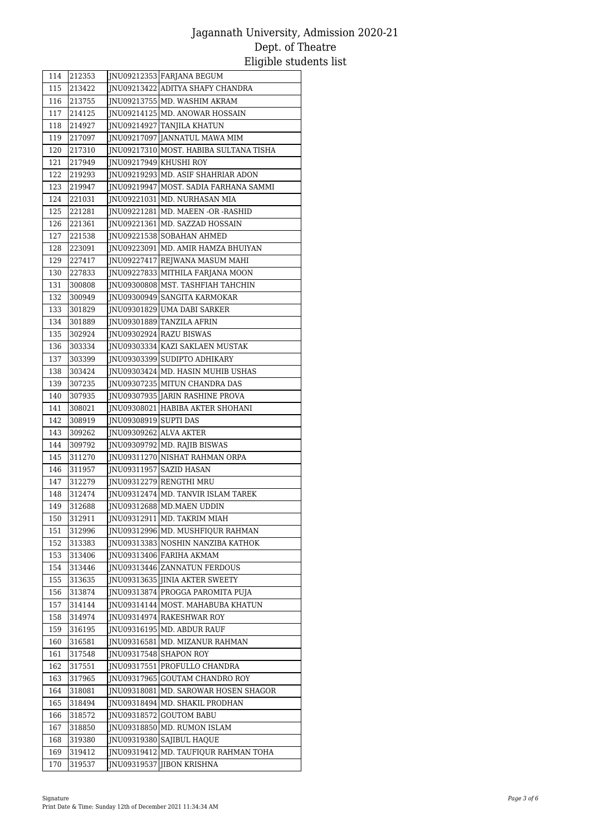| 114        | 212353           |                              | JNU09212353 FARJANA BEGUM                                |
|------------|------------------|------------------------------|----------------------------------------------------------|
| 115        | 213422           |                              | JNU09213422 ADITYA SHAFY CHANDRA                         |
| 116        | 213755           |                              | JNU09213755 MD. WASHIM AKRAM                             |
| 117        | 214125           |                              | JNU09214125 MD. ANOWAR HOSSAIN                           |
| 118        | 214927           |                              | JNU09214927 TANJILA KHATUN                               |
| 119        | 217097           |                              | JNU09217097 JANNATUL MAWA MIM                            |
| 120        | 217310           |                              | JNU09217310 MOST. HABIBA SULTANA TISHA                   |
| 121        | 217949           | JNU09217949 KHUSHI ROY       |                                                          |
| 122        | 219293           |                              | JNU09219293 MD. ASIF SHAHRIAR ADON                       |
| 123        | 219947           |                              | JNU09219947 MOST. SADIA FARHANA SAMMI                    |
| 124        | 221031           |                              | JNU09221031 MD. NURHASAN MIA                             |
| 125        | 221281           |                              | JNU09221281 MD. MAEEN -OR -RASHID                        |
| 126        | 221361           |                              | JNU09221361 MD. SAZZAD HOSSAIN                           |
| 127        | 221538           |                              | JNU09221538 SOBAHAN AHMED                                |
| 128        | 223091           |                              | JNU09223091   MD. AMIR HAMZA BHUIYAN                     |
| 129        | 227417           |                              | JNU09227417 REJWANA MASUM MAHI                           |
| 130        | 227833           |                              | JNU09227833 MITHILA FARJANA MOON                         |
| 131        | 300808           |                              | JNU09300808 MST. TASHFIAH TAHCHIN                        |
| 132        | 300949           |                              | JNU09300949 SANGITA KARMOKAR                             |
| 133        | 301829           |                              | JNU09301829 UMA DABI SARKER                              |
| 134        | 301889           |                              | JNU09301889 TANZILA AFRIN                                |
| 135        | 302924           |                              | JNU09302924 RAZU BISWAS                                  |
| 136        | 303334           |                              | INU09303334 KAZI SAKLAEN MUSTAK                          |
| 137        | 303399           |                              | JNU09303399 SUDIPTO ADHIKARY                             |
| 138        | 303424           |                              | JNU09303424 MD. HASIN MUHIB USHAS                        |
| 139        | 307235           |                              | JNU09307235 MITUN CHANDRA DAS                            |
| 140        | 307935           |                              | JNU09307935 JARIN RASHINE PROVA                          |
| 141        | 308021           |                              | JNU09308021 HABIBA AKTER SHOHANI                         |
| 142        | 308919           | <b>INU09308919 SUPTI DAS</b> |                                                          |
| 143        | 309262           | JNU09309262 ALVA AKTER       |                                                          |
| 144        | 309792           |                              | JNU09309792 MD. RAJIB BISWAS                             |
| 145        | 311270           |                              | JNU09311270 NISHAT RAHMAN ORPA                           |
| 146        | 311957           |                              | JNU09311957 SAZID HASAN                                  |
| 147        | 312279           |                              | JNU09312279 RENGTHI MRU                                  |
| 148        | 312474           |                              | JNU09312474 MD. TANVIR ISLAM TAREK                       |
| 149<br>150 | 312688<br>312911 |                              | JNU09312688 MD.MAEN UDDIN<br>JNU09312911 MD. TAKRIM MIAH |
|            |                  |                              |                                                          |
| 151        | 312996           |                              | JNU09312996 MD. MUSHFIQUR RAHMAN                         |
| 152        | 313383           |                              | JNU09313383 NOSHIN NANZIBA KATHOK                        |
| 153<br>154 | 313406<br>313446 |                              | JNU09313406 FARIHA AKMAM<br>JNU09313446 ZANNATUN FERDOUS |
| 155        | 313635           |                              | JNU09313635 JINIA AKTER SWEETY                           |
| 156        | 313874           |                              | JNU09313874 PROGGA PAROMITA PUJA                         |
| 157        | 314144           |                              | INU09314144 MOST. MAHABUBA KHATUN                        |
| 158        | 314974           |                              | JNU09314974 RAKESHWAR ROY                                |
| 159        | 316195           |                              | INU09316195 MD. ABDUR RAUF                               |
| 160        | 316581           |                              | INU09316581 MD. MIZANUR RAHMAN                           |
| 161        | 317548           |                              | JNU09317548 SHAPON ROY                                   |
| 162        | 317551           |                              | INU09317551 PROFULLO CHANDRA                             |
| 163        | 317965           | JNU09317965                  | <b>GOUTAM CHANDRO ROY</b>                                |
| 164        | 318081           |                              | JNU09318081   MD. SAROWAR HOSEN SHAGOR                   |
| 165        | 318494           |                              | JNU09318494 MD. SHAKIL PRODHAN                           |
| 166        | 318572           | JNU09318572                  | <b>GOUTOM BABU</b>                                       |
| 167        | 318850           |                              | JNU09318850 MD. RUMON ISLAM                              |
| 168        | 319380           | JNU09319380                  | SAJIBUL HAQUE                                            |
| 169        | 319412           | JNU09319412                  | MD. TAUFIQUR RAHMAN TOHA                                 |
| 170        | 319537           | JNU09319537                  | <b>JIBON KRISHNA</b>                                     |
|            |                  |                              |                                                          |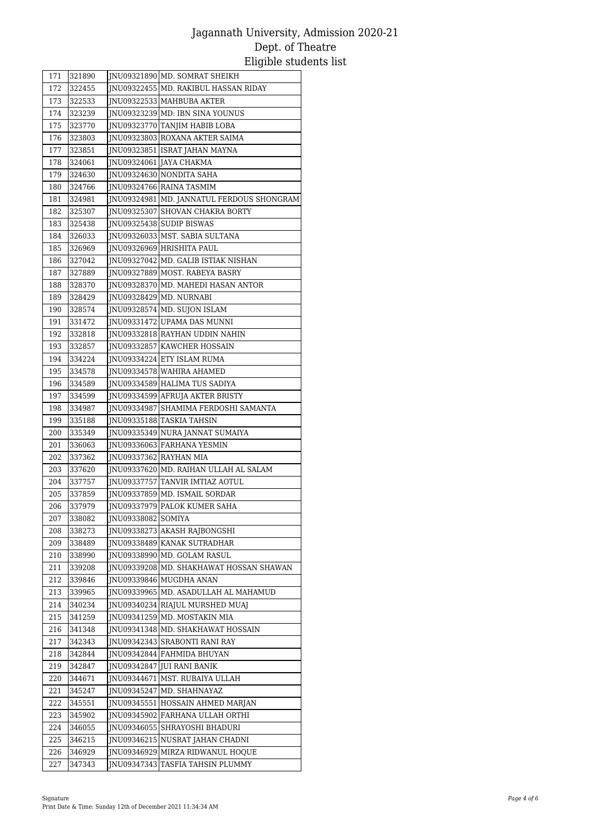| 171        | 321890           |                        | JNU09321890 MD. SOMRAT SHEIKH               |
|------------|------------------|------------------------|---------------------------------------------|
| 172        | 322455           |                        | JNU09322455 MD. RAKIBUL HASSAN RIDAY        |
| 173        | 322533           |                        | JNU09322533   MAHBUBA AKTER                 |
| 174        | 323239           |                        | JNU09323239 MD: IBN SINA YOUNUS             |
| 175        | 323770           |                        | JNU09323770 TANJIM HABIB LOBA               |
| 176        | 323803           |                        | JNU09323803 ROXANA AKTER SAIMA              |
| 177        | 323851           |                        | JNU09323851 ISRAT JAHAN MAYNA               |
| 178        | 324061           |                        | JNU09324061 JAYA CHAKMA                     |
| 179        | 324630           |                        | JNU09324630 NONDITA SAHA                    |
| 180        | 324766           |                        | JNU09324766 RAINA TASMIM                    |
| 181        | 324981           |                        | JNU09324981   MD. JANNATUL FERDOUS SHONGRAM |
| 182        | 325307           |                        | INU09325307 SHOVAN CHAKRA BORTY             |
| 183        | 325438           |                        | JNU09325438 SUDIP BISWAS                    |
| 184        | 326033           |                        | JNU09326033 MST. SABIA SULTANA              |
| 185        | 326969           |                        | JNU09326969 HRISHITA PAUL                   |
| 186        | 327042           |                        | JNU09327042 MD. GALIB ISTIAK NISHAN         |
| 187        | 327889           |                        | JNU09327889 MOST. RABEYA BASRY              |
| 188        | 328370           |                        | INU09328370 MD. MAHEDI HASAN ANTOR          |
| 189        | 328429           |                        | JNU09328429 MD. NURNABI                     |
| 190        | 328574           |                        | JNU09328574 MD. SUJON ISLAM                 |
| 191        | 331472           |                        | JNU09331472 UPAMA DAS MUNNI                 |
| 192        | 332818           |                        | JNU09332818 RAYHAN UDDIN NAHIN              |
| 193        | 332857           |                        | JNU09332857 KAWCHER HOSSAIN                 |
| 194        | 334224           |                        | INU09334224 ETY ISLAM RUMA                  |
| 195        | 334578           |                        | JNU09334578 WAHIRA AHAMED                   |
| 196        | 334589           |                        | JNU09334589 HALIMA TUS SADIYA               |
| 197        | 334599           |                        | JNU09334599 AFRUJA AKTER BRISTY             |
| 198        | 334987           |                        | INU09334987 SHAMIMA FERDOSHI SAMANTA        |
| 199        | 335188           |                        | JNU09335188 TASKIA TAHSIN                   |
| 200        | 335349           |                        | JNU09335349 NURA JANNAT SUMAIYA             |
| 201        | 336063<br>337362 | JNU09337362 RAYHAN MIA | JNU09336063 FARHANA YESMIN                  |
| 202<br>203 | 337620           |                        | JNU09337620 MD. RAIHAN ULLAH AL SALAM       |
| 204        | 337757           |                        | JNU09337757 TANVIR IMTIAZ AOTUL             |
| 205        | 337859           |                        | JNU09337859 MD. ISMAIL SORDAR               |
| 206        | 337979           |                        | JNU09337979 PALOK KUMER SAHA                |
| 207        | 338082           | JNU09338082 SOMIYA     |                                             |
| 208        | 338273           |                        | JNU09338273 AKASH RAJBONGSHI                |
| 209        | 338489           |                        | JNU09338489 KANAK SUTRADHAR                 |
| 210        | 338990           |                        | JNU09338990 MD. GOLAM RASUL                 |
| 211        | 339208           |                        | JNU09339208 MD. SHAKHAWAT HOSSAN SHAWAN     |
| 212        | 339846           |                        | JNU09339846 MUGDHA ANAN                     |
| 213        | 339965           |                        | JNU09339965 MD. ASADULLAH AL MAHAMUD        |
| 214        | 340234           |                        | JNU09340234 RIAJUL MURSHED MUAJ             |
| 215        | 341259           |                        | JNU09341259 MD. MOSTAKIN MIA                |
| 216        | 341348           |                        | JNU09341348 MD. SHAKHAWAT HOSSAIN           |
| 217        | 342343           |                        | INU09342343 SRABONTI RANI RAY               |
| 218        | 342844           |                        | JNU09342844 FAHMIDA BHUYAN                  |
| 219        | 342847           |                        | JNU09342847 JUI RANI BANIK                  |
| 220        | 344671           |                        | JNU09344671  MST. RUBAIYA ULLAH             |
| 221        | 345247           |                        | JNU09345247 MD. SHAHNAYAZ                   |
| 222        | 345551           |                        | JNU09345551 HOSSAIN AHMED MARJAN            |
| 223        | 345902           |                        | JNU09345902 FARHANA ULLAH ORTHI             |
| 224        | 346055           | JNU09346055            | SHRAYOSHI BHADURI                           |
| 225        | 346215           |                        | JNU09346215 NUSRAT JAHAN CHADNI             |
| 226        | 346929           |                        | JNU09346929 MIRZA RIDWANUL HOQUE            |
| 227        | 347343           | JNU09347343            | TASFIA TAHSIN PLUMMY                        |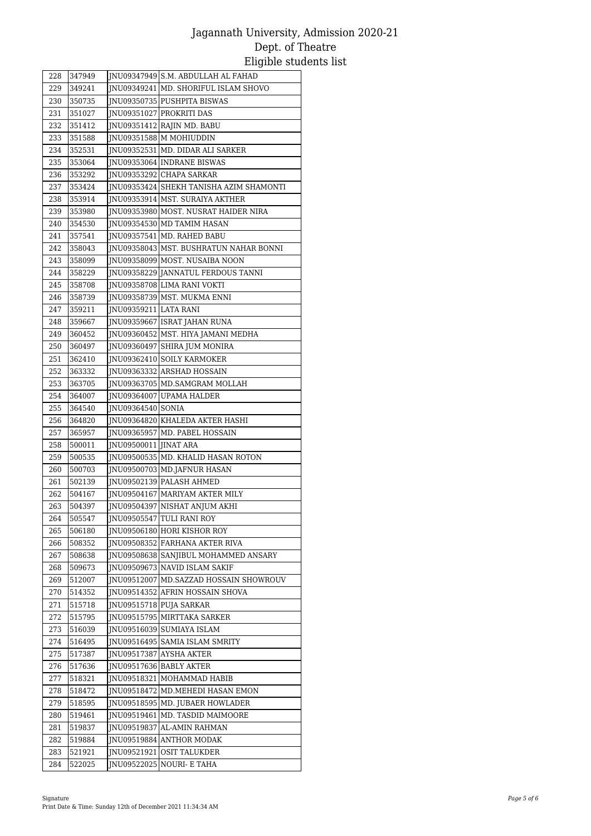| 228        | 347949           |                       | JNU09347949 S.M. ABDULLAH AL FAHAD       |
|------------|------------------|-----------------------|------------------------------------------|
| 229        | 349241           |                       | JNU09349241 MD. SHORIFUL ISLAM SHOVO     |
| 230        | 350735           |                       | JNU09350735 PUSHPITA BISWAS              |
| 231        | 351027           |                       | JNU09351027 PROKRITI DAS                 |
| 232        | 351412           |                       | JNU09351412 RAJIN MD. BABU               |
| 233        | 351588           |                       | INU09351588 M MOHIUDDIN                  |
| 234        | 352531           |                       | JNU09352531 MD. DIDAR ALI SARKER         |
| 235        | 353064           |                       | JNU09353064   INDRANE BISWAS             |
| 236        | 353292           |                       | JNU09353292 CHAPA SARKAR                 |
| 237        | 353424           |                       | INU09353424 SHEKH TANISHA AZIM SHAMONTI] |
| 238        | 353914           |                       | INU09353914 MST. SURAIYA AKTHER          |
| 239        | 353980           |                       | JNU09353980 MOST. NUSRAT HAIDER NIRA     |
| 240        | 354530           |                       | JNU09354530 MD TAMIM HASAN               |
| 241        | 357541           |                       | JNU09357541 MD. RAHED BABU               |
| 242        | 358043           |                       | [INU09358043 MST. BUSHRATUN NAHAR BONNI] |
| 243        | 358099           |                       | JNU09358099 MOST. NUSAIBA NOON           |
| 244        | 358229           |                       | INU09358229 JANNATUL FERDOUS TANNI       |
| 245        | 358708           |                       | JNU09358708 LIMA RANI VOKTI              |
| 246        | 358739           |                       | INU09358739 MST. MUKMA ENNI              |
| 247        | 359211           | JNU09359211 LATA RANI |                                          |
| 248        | 359667           |                       | JNU09359667 ISRAT JAHAN RUNA             |
| 249        | 360452           |                       | JNU09360452 MST. HIYA JAMANI MEDHA       |
| 250        | 360497           |                       | INU09360497 SHIRA JUM MONIRA             |
| 251        | 362410           |                       | JNU09362410 SOILY KARMOKER               |
| 252        | 363332           |                       | JNU09363332 ARSHAD HOSSAIN               |
| 253        | 363705           |                       | JNU09363705 MD.SAMGRAM MOLLAH            |
| 254        | 364007           |                       | JNU09364007 UPAMA HALDER                 |
| 255        | 364540           | JNU09364540 SONIA     |                                          |
| 256        | 364820           |                       | JNU09364820 KHALEDA AKTER HASHI          |
| 257        | 365957           | JNU09500011 JINAT ARA | JNU09365957 MD. PABEL HOSSAIN            |
| 258<br>259 | 500011<br>500535 |                       | JNU09500535 MD. KHALID HASAN ROTON       |
| 260        | 500703           |                       | JNU09500703 MD.JAFNUR HASAN              |
| 261        | 502139           |                       | INU09502139 PALASH AHMED                 |
| 262        | 504167           |                       | JNU09504167 MARIYAM AKTER MILY           |
| 263        | 504397           |                       | JNU09504397 NISHAT ANJUM AKHI            |
| 264        | 505547           |                       | JNU09505547 TULI RANI ROY                |
| 265        | 506180           |                       | JNU09506180 HORI KISHOR ROY              |
| 266        | 508352           |                       | JNU09508352 FARHANA AKTER RIVA           |
| 267        | 508638           |                       | INU09508638 SANJIBUL MOHAMMED ANSARY     |
| 268        | 509673           |                       | JNU09509673 NAVID ISLAM SAKIF            |
| 269        | 512007           | JNU09512007           | MD.SAZZAD HOSSAIN SHOWROUV               |
| 270        | 514352           | JNU09514352           | AFRIN HOSSAIN SHOVA                      |
| 271        | 515718           |                       | JNU09515718 PUJA SARKAR                  |
| 272        | 515795           | JNU09515795           | <b>MIRTTAKA SARKER</b>                   |
| 273        | 516039           | JNU09516039           | <b>SUMIAYA ISLAM</b>                     |
| 274        | 516495           |                       | JNU09516495 SAMIA ISLAM SMRITY           |
| 275        | 517387           | [NU09517387]          | <b>AYSHA AKTER</b>                       |
| 276        | 517636           |                       | JNU09517636 BABLY AKTER                  |
| 277        | 518321           |                       | JNU09518321 MOHAMMAD HABIB               |
| 278        | 518472           |                       | JNU09518472 MD.MEHEDI HASAN EMON         |
| 279        | 518595           |                       | JNU09518595 MD. JUBAER HOWLADER          |
| 280        | 519461           |                       | JNU09519461 MD. TASDID MAIMOORE          |
| 281        | 519837           | JNU09519837           | AL-AMIN RAHMAN                           |
| 282        | 519884           | JNU09519884           | <b>ANTHOR MODAK</b>                      |
| 283        | 521921           | JNU09521921           | <b>OSIT TALUKDER</b>                     |
| 284        | 522025           |                       | JNU09522025 NOURI- E TAHA                |